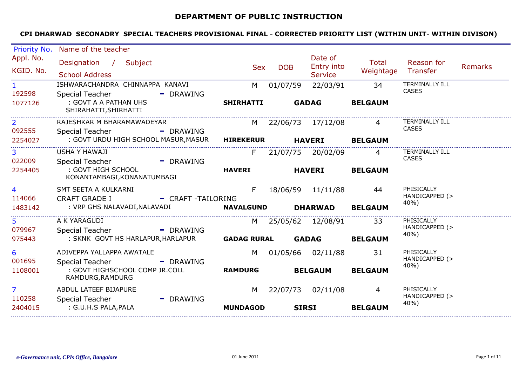# **DEPARTMENT OF PUBLIC INSTRUCTION**

| Priority No.             | Name of the teacher                                                                       |                    |              |                                         |                           |                                       |                |
|--------------------------|-------------------------------------------------------------------------------------------|--------------------|--------------|-----------------------------------------|---------------------------|---------------------------------------|----------------|
| Appl. No.<br>KGID. No.   | Designation / Subject<br><b>School Address</b>                                            | <b>Sex</b>         | <b>DOB</b>   | Date of<br>Entry into<br><b>Service</b> | <b>Total</b><br>Weightage | Reason for<br>Transfer                | <b>Remarks</b> |
| $\mathbf{1}$             | ISHWARACHANDRA CHINNAPPA KANAVI                                                           | M                  | 01/07/59     | 22/03/91                                | 34                        | <b>TERMINALLY ILL</b>                 |                |
| 192598                   | <b>Special Teacher</b><br>- DRAWING                                                       |                    |              |                                         |                           | <b>CASES</b>                          |                |
| 1077126                  | : GOVT A A PATHAN UHS<br>SHIRAHATTI, SHIRHATTI                                            | <b>SHIRHATTI</b>   |              | <b>GADAG</b>                            | <b>BELGAUM</b>            |                                       |                |
| $\overline{2}$           | RAJESHKAR M BHARAMAWADEYAR                                                                | M                  |              | 22/06/73 17/12/08                       |                           | <b>TERMINALLY ILL</b><br><b>CASES</b> |                |
| 092555<br>2254027        | Special Teacher<br>- DRAWING<br>: GOVT URDU HIGH SCHOOL MASUR, MASUR                      | <b>HIREKERUR</b>   |              | <b>HAVERI</b>                           | <b>BELGAUM</b>            |                                       |                |
| 3 <sup>1</sup><br>022009 | <b>USHA Y HAWAJI</b>                                                                      | F.                 |              | 21/07/75 20/02/09                       | 4                         | <b>TERMINALLY ILL</b><br><b>CASES</b> |                |
| 2254405                  | <b>Special Teacher</b><br>- DRAWING<br>: GOVT HIGH SCHOOL<br>KONANTAMBAGI, KONANATUMBAGI  | <b>HAVERI</b>      |              | <b>HAVERI</b>                           | <b>BELGAUM</b>            |                                       |                |
| 4                        | SMT SEETA A KULKARNI                                                                      | F.                 |              | 18/06/59 11/11/88                       | 44                        | PHISICALLY<br>HANDICAPPED (>          |                |
| 114066<br>1483142        | <b>CRAFT GRADE I</b><br>- CRAFT -TAILORING<br>: VRP GHS NALAVADI, NALAVADI                | <b>NAVALGUND</b>   |              | <b>DHARWAD</b>                          | <b>BELGAUM</b>            | 40%)                                  |                |
|                          |                                                                                           |                    |              |                                         |                           |                                       |                |
| 5<br>079967              | A K YARAGUDI                                                                              | M                  |              | 25/05/62 12/08/91                       | 33                        | PHISICALLY<br>HANDICAPPED (>          |                |
| 975443                   | <b>Special Teacher</b><br>- DRAWING<br>: SKNK GOVT HS HARLAPUR, HARLAPUR                  | <b>GADAG RURAL</b> |              | <b>GADAG</b>                            | <b>BELGAUM</b>            | 40%                                   |                |
| 6                        | ADIVEPPA YALLAPPA AWATALE                                                                 | M                  |              | 01/05/66 02/11/88                       | 31                        | PHISICALLY<br>HANDICAPPED (>          |                |
| 001695<br>1108001        | <b>Special Teacher</b><br>- DRAWING<br>: GOVT HIGHSCHOOL COMP JR.COLL<br>RAMDURG, RAMDURG | <b>RAMDURG</b>     |              | <b>BELGAUM</b>                          | <b>BELGAUM</b>            | 40%)                                  |                |
| $\overline{7}$           | ABDUL LATEEF BIJAPURE                                                                     | M                  |              | 22/07/73 02/11/08                       | 4                         | PHISICALLY<br>HANDICAPPED (>          |                |
| 110258<br>2404015        | <b>Special Teacher</b><br>- DRAWING<br>: G.U.H.S PALA, PALA                               | <b>MUNDAGOD</b>    | <b>SIRSI</b> |                                         | <b>BELGAUM</b>            | 40%)                                  |                |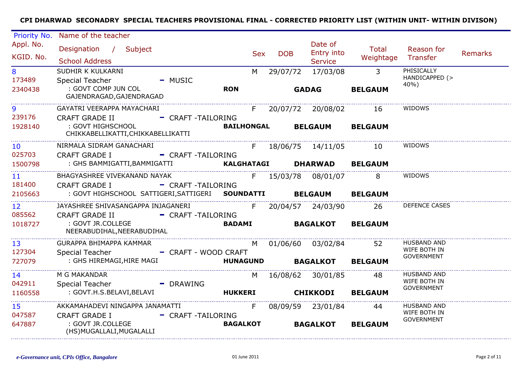| Priority No.                                                                                                                                                                                                                   | Name of the teacher                                                                 |                        |                   |            |            |                                         |                             |                                      |         |
|--------------------------------------------------------------------------------------------------------------------------------------------------------------------------------------------------------------------------------|-------------------------------------------------------------------------------------|------------------------|-------------------|------------|------------|-----------------------------------------|-----------------------------|--------------------------------------|---------|
| Appl. No.<br>KGID. No.                                                                                                                                                                                                         | Designation / Subject<br><b>School Address</b>                                      |                        |                   | <b>Sex</b> | <b>DOB</b> | Date of<br>Entry into<br><b>Service</b> | Total<br>Weightage Transfer | Reason for                           | Remarks |
| 8<br>173489                                                                                                                                                                                                                    | SUDHIR K KULKARNI<br><b>Special Teacher</b>                                         | $-MUSIC$               |                   | M          | 29/07/72   | 17/03/08                                | $\overline{\phantom{a}}$ 3  | PHISICALLY<br>HANDICAPPED (><br>40%) |         |
| 2340438                                                                                                                                                                                                                        | : GOVT COMP JUN COL<br>GAJENDRAGAD, GAJENDRAGAD                                     |                        | <b>RON</b>        |            |            | <b>GADAG</b>                            | <b>BELGAUM</b>              |                                      |         |
| 9                                                                                                                                                                                                                              | GAYATRI VEERAPPA MAYACHARI                                                          |                        |                   | F          |            | 20/07/72 20/08/02                       | 16                          | WIDOWS                               |         |
| 239176                                                                                                                                                                                                                         | <b>CRAFT GRADE II</b>                                                               | - CRAFT -TAILORING     |                   |            |            |                                         |                             |                                      |         |
| 1928140                                                                                                                                                                                                                        | : GOVT HIGHSCHOOL<br>CHIKKABELLIKATTI, CHIKKABELLIKATTI                             |                        | <b>BAILHONGAL</b> |            |            | <b>BELGAUM BELGAUM</b>                  |                             |                                      |         |
| 10 <sup>°</sup>                                                                                                                                                                                                                | NIRMALA SIDRAM GANACHARI                                                            | F 18/06/75 14/11/05 10 |                   |            |            |                                         |                             | WIDOWS                               |         |
| 025703                                                                                                                                                                                                                         | <b>CRAFT GRADE I</b>                                                                | - CRAFT-TAILORING      |                   |            |            |                                         |                             |                                      |         |
| 1500798                                                                                                                                                                                                                        | : GHS BAMMIGATTI, BAMMIGATTI <b>KALGHATAGI DHARWAD BELGAUM</b>                      |                        |                   |            |            |                                         |                             |                                      |         |
| 11 - 11 - 11 - 11 - 11 - 11 - 11 - 11 - 11 - 11 - 11 - 11 - 11 - 11 - 11 - 11 - 11 - 11 - 11 - 11 - 11 - 11 - 11 - 11 - 11 - 11 - 11 - 11 - 11 - 11 - 11 - 11 - 11 - 11 - 11 - 11 - 11 - 11 - 11 - 11 - 11 - 11 - 11 - 11 - 11 | BHAGYASHREE VIVEKANAND NAYAK                                                        |                        |                   |            |            | F 15/03/78 08/01/07                     | 8                           | WIDOWS                               |         |
| 181400                                                                                                                                                                                                                         | <b>CRAFT GRADE I</b>                                                                | - CRAFT-TAILORING      |                   |            |            |                                         |                             |                                      |         |
| 2105663                                                                                                                                                                                                                        | : GOVT HIGHSCHOOL SATTIGERI, SATTIGERI SOUNDATTI BELGAUM BELGAUM                    |                        |                   |            |            |                                         |                             |                                      |         |
| 12 <sup>2</sup>                                                                                                                                                                                                                | JAYASHREE SHIVASANGAPPA INJAGANERI                                                  |                        |                   | F          |            | 20/04/57 24/03/90                       | 26                          | <b>DEFENCE CASES</b>                 |         |
| 085562                                                                                                                                                                                                                         | CRAFT GRADE II - CRAFT -TAILORING                                                   |                        |                   |            |            |                                         |                             |                                      |         |
| 1018727                                                                                                                                                                                                                        | : GOVT JR.COLLEGE<br>NEERABUDIHAL, NEERABUDIHAL                                     |                        | <b>BADAMI</b>     |            |            | <b>BAGALKOT</b>                         | <b>BELGAUM</b>              |                                      |         |
| 13                                                                                                                                                                                                                             | GURAPPA BHIMAPPA KAMMAR                                                             |                        |                   |            |            | M 01/06/60 03/02/84 52                  |                             | <b>HUSBAND AND</b>                   |         |
| 127304                                                                                                                                                                                                                         | <b>Special Teacher</b>                                                              | - CRAFT - WOOD CRAFT   |                   |            |            |                                         |                             | WIFE BOTH IN<br>GOVERNMENT           |         |
| 727079                                                                                                                                                                                                                         | : GHS HIREMAGI,HIRE MAGI                                                            |                        |                   |            |            | HUNAGUND BAGALKOT BELGAUM               |                             |                                      |         |
| 14                                                                                                                                                                                                                             | M G MAKANDAR                                                                        |                        |                   |            |            | M 16/08/62 30/01/85                     | 48                          | <b>HUSBAND AND</b>                   |         |
| 042911                                                                                                                                                                                                                         | Special Teacher                                                                     | - DRAWING              |                   |            |            |                                         |                             | WIFE BOTH IN                         |         |
| 1160558                                                                                                                                                                                                                        | : GOVT.H.S.BELAVI,BELAVI                     HUKKERI           CHIKKODI     BELGAUM |                        |                   |            |            |                                         |                             | <b>GOVERNMENT</b>                    |         |
| 15                                                                                                                                                                                                                             | AKKAMAHADEVI NINGAPPA JANAMATTI                                                     |                        |                   | F          |            | 08/09/59 23/01/84                       | 44                          | <b>HUSBAND AND</b>                   |         |
| 047587                                                                                                                                                                                                                         | <b>CRAFT GRADE I</b>                                                                | - CRAFT -TAILORING     |                   |            |            |                                         |                             | WIFE BOTH IN                         |         |
| 647887                                                                                                                                                                                                                         | : GOVT JR.COLLEGE<br>(HS) MUGALLALI, MUGALALLI                                      |                        | <b>BAGALKOT</b>   |            |            | <b>BAGALKOT</b>                         | <b>BELGAUM</b>              | <b>GOVERNMENT</b>                    |         |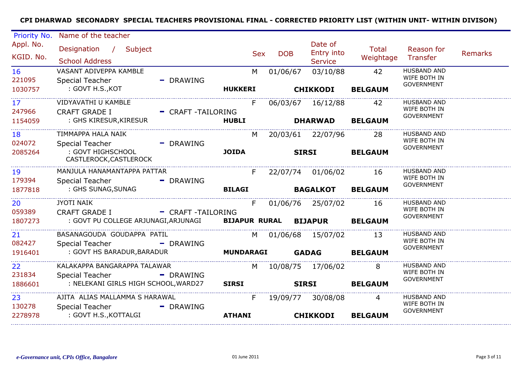| Priority No.              | Name of the teacher                                                |                    |            |                   |                                         |                           |                                                         |                |
|---------------------------|--------------------------------------------------------------------|--------------------|------------|-------------------|-----------------------------------------|---------------------------|---------------------------------------------------------|----------------|
| Appl. No.<br>KGID. No.    | Designation / Subject<br><b>School Address</b>                     |                    | <b>Sex</b> | <b>DOB</b>        | Date of<br>Entry into<br><b>Service</b> | <b>Total</b><br>Weightage | Reason for<br>Transfer                                  | <b>Remarks</b> |
| 16<br>221095              | VASANT ADIVEPPA KAMBLE<br>Special Teacher                          | - DRAWING          | M          | 01/06/67          | 03/10/88                                | 42                        | <b>HUSBAND AND</b><br>WIFE BOTH IN<br><b>GOVERNMENT</b> |                |
| 1030757                   | : GOVT H.S.,KOT                                                    | <b>HUKKERI</b>     |            |                   | <b>CHIKKODI</b>                         | <b>BELGAUM</b>            |                                                         |                |
| 17 <sup>2</sup><br>247966 | VIDYAVATHI U KAMBLE<br><b>CRAFT GRADE I</b>                        | - CRAFT -TAILORING | F          |                   | 06/03/67 16/12/88                       | 42                        | <b>HUSBAND AND</b><br>WIFE BOTH IN<br><b>GOVERNMENT</b> |                |
| 1154059                   | : GHS KIRESUR, KIRESUR                                             | <b>HUBLI</b>       |            |                   | <b>DHARWAD</b>                          | <b>BELGAUM</b>            |                                                         |                |
| 18<br>024072              | TIMMAPPA HALA NAIK<br>- DRAWING<br>Special Teacher                 |                    | M          |                   | 20/03/61 22/07/96                       | -28                       | <b>HUSBAND AND</b><br>WIFE BOTH IN                      |                |
| 2085264                   | : GOVT HIGHSCHOOL<br>CASTLEROCK, CASTLEROCK                        | <b>JOIDA</b>       |            | <b>SIRSI</b>      |                                         | <b>BELGAUM</b>            | <b>GOVERNMENT</b>                                       |                |
| 19<br>179394              | MANJULA HANAMANTAPPA PATTAR<br>Special Teacher                     | - DRAWING          | F          | 22/07/74 01/06/02 |                                         | 16                        | <b>HUSBAND AND</b><br>WIFE BOTH IN                      |                |
| 1877818                   | : GHS SUNAG,SUNAG                                                  | <b>BILAGI</b>      |            | <b>BAGALKOT</b>   |                                         | <b>BELGAUM</b>            | <b>GOVERNMENT</b>                                       |                |
| 20<br>059389              | <b>JYOTI NAIK</b><br>CRAFT GRADE I - CRAFT -TAILORING              |                    | F.         |                   | 01/06/76 25/07/02                       | 16                        | <b>HUSBAND AND</b><br>WIFE BOTH IN                      |                |
| 1807273                   | : GOVT PU COLLEGE ARJUNAGI, ARJUNAGI BIJAPUR RURAL BIJAPUR BELGAUM |                    |            |                   |                                         |                           | <b>GOVERNMENT</b>                                       |                |
| 21<br>082427              | BASANAGOUDA GOUDAPPA PATIL<br>Special Teacher<br>- DRAWING         |                    |            |                   | M 01/06/68 15/07/02                     | 13                        | <b>HUSBAND AND</b><br>WIFE BOTH IN                      |                |
| 1916401                   | : GOVT HS BARADUR, BARADUR MUNDARAGI                               |                    |            | <b>GADAG</b>      |                                         | <b>BELGAUM</b>            | <b>GOVERNMENT</b>                                       |                |
| 22<br>231834              | KALAKAPPA BANGARAPPA TALAWAR<br><b>Special Teacher</b>             | - DRAWING          | M          |                   | 10/08/75 17/06/02                       | 8                         | <b>HUSBAND AND</b><br>WIFE BOTH IN                      |                |
| 1886601                   | : NELEKANI GIRLS HIGH SCHOOL, WARD27                               | <b>SIRSI</b>       |            | <b>SIRSI</b>      |                                         | <b>BELGAUM</b>            | <b>GOVERNMENT</b>                                       |                |
| 23<br>130278              | AJITA ALIAS MALLAMMA S HARAWAL<br>Special Teacher<br>- DRAWING     |                    | F          |                   | 19/09/77 30/08/08                       | $\overline{4}$            | HUSBAND AND<br>WIFE BOTH IN<br><b>GOVERNMENT</b>        |                |
| 2278978                   | : GOVT H.S., KOTTALGI                                              | <b>ATHANI</b>      |            |                   | <b>CHIKKODI</b>                         | <b>BELGAUM</b>            |                                                         |                |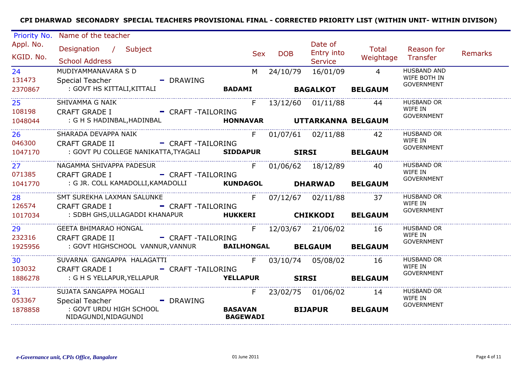| Priority No.                         | Name of the teacher                                                                                                  |                                   |            |                                         |                    |                                                         |                |
|--------------------------------------|----------------------------------------------------------------------------------------------------------------------|-----------------------------------|------------|-----------------------------------------|--------------------|---------------------------------------------------------|----------------|
| Appl. No.<br>KGID. No.               | Designation / Subject<br><b>School Address</b>                                                                       | <b>Sex</b>                        | <b>DOB</b> | Date of<br>Entry into<br><b>Service</b> | Total<br>Weightage | Reason for<br>Transfer                                  | <b>Remarks</b> |
| 24<br>131473<br>2370867              | MUDIYAMMANAVARA S D<br>Special Teacher<br>- DRAWING                                                                  | M                                 | 24/10/79   | 16/01/09<br><b>BAGALKOT BELGAUM</b>     | $\overline{4}$     | <b>HUSBAND AND</b><br>WIFE BOTH IN<br><b>GOVERNMENT</b> |                |
| 25 <sub>1</sub><br>108198<br>1048044 | SHIVAMMA G NAIK<br>CRAFT GRADE I - CRAFT -TAILORING<br>: G H S HADINBAL, HADINBAL <b>FONNAVAR UTTARKANNA BELGAUM</b> | $F_{\perp}$                       |            | 13/12/60 01/11/88 44                    |                    | <b>HUSBAND OR</b><br>WIFE IN<br><b>GOVERNMENT</b>       |                |
|                                      |                                                                                                                      |                                   |            |                                         |                    |                                                         |                |
| 26<br>046300                         | SHARADA DEVAPPA NAIK<br>CRAFT GRADE II - CRAFT -TAILORING                                                            |                                   |            | F 01/07/61 02/11/88 42                  |                    | <b>HUSBAND OR</b><br>WIFE IN<br><b>GOVERNMENT</b>       |                |
| 1047170                              | : GOVT PU COLLEGE NANIKATTA, TYAGALI SIDDAPUR SIRSI BELGAUM                                                          |                                   |            |                                         |                    |                                                         |                |
| 27<br>071385                         | NAGAMMA SHIVAPPA PADESUR<br>- CRAFT -TAILORING<br><b>CRAFT GRADE I</b>                                               |                                   |            | F 01/06/62 18/12/89 40                  |                    | <b>HUSBAND OR</b><br>WIFE IN                            |                |
| 1041770                              | : G JR. COLL KAMADOLLI, KAMADOLLI KUNDAGOL DHARWAD BELGAUM                                                           |                                   |            |                                         |                    | <b>GOVERNMENT</b>                                       |                |
| 28<br>126574                         | SMT SUREKHA LAXMAN SALUNKE<br>CRAFT GRADE I - CRAFT -TAILORING                                                       | F 07/12/67 02/11/88 37            |            |                                         |                    | HUSBAND OR<br>WIFE IN<br><b>GOVERNMENT</b>              |                |
| 1017034                              | : SDBH GHS, ULLAGADDI KHANAPUR                    HUKKERI                CHIKKODI       BELGAUM                      |                                   |            |                                         |                    |                                                         |                |
| 29<br>232316                         | <b>GEETA BHIMARAO HONGAL</b><br>- CRAFT -TAILORING<br><b>CRAFT GRADE II</b>                                          | F 12/03/67 21/06/02 16            |            |                                         |                    | <b>HUSBAND OR</b><br>WIFE IN                            |                |
| 1925956                              | : GOVT HIGHSCHOOL VANNUR, VANNUR BAILHONGAL BELGAUM BELGAUM                                                          |                                   |            |                                         |                    | GOVERNMENT                                              |                |
| 30<br>103032                         | SUVARNA GANGAPPA HALAGATTI 6 63/10/74 65/08/02 16<br>- CRAFT-TAILORING<br><b>CRAFT GRADE I</b>                       |                                   |            |                                         |                    | <b>HUSBAND OR</b><br>WIFE IN                            |                |
| 1886278                              | : G H S YELLAPUR, YELLAPUR                                                                                           | <b>YELLAPUR</b> SIRSI BELGAUM     |            |                                         |                    | GOVERNMENT                                              |                |
| 31<br>053367                         | SUJATA SANGAPPA MOGALI<br>- DRAWING<br>Special Teacher                                                               |                                   |            | F 23/02/75 01/06/02 14                  |                    | HUSBAND OR<br>WIFE IN                                   |                |
| 1878858                              | : GOVT URDU HIGH SCHOOL<br>NIDAGUNDI, NIDAGUNDI                                                                      | <b>BASAVAN</b><br><b>BAGEWADI</b> |            | <b>BIJAPUR</b>                          | <b>BELGAUM</b>     | GOVERNMENT                                              |                |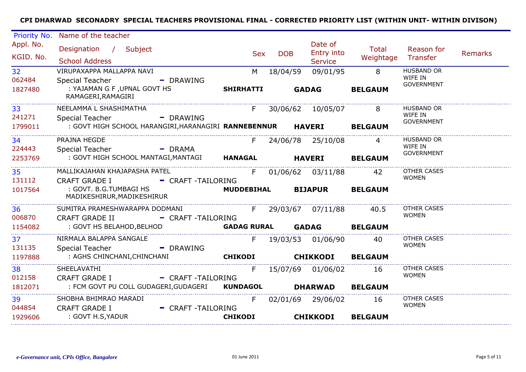| Priority No.              | Name of the teacher                                                                         |                          |            |                                         |                    |                                                   |                |
|---------------------------|---------------------------------------------------------------------------------------------|--------------------------|------------|-----------------------------------------|--------------------|---------------------------------------------------|----------------|
| Appl. No.<br>KGID. No.    | Designation / Subject<br><b>School Address</b>                                              | <b>Sex</b>               | <b>DOB</b> | Date of<br>Entry into<br><b>Service</b> | Total<br>Weightage | Reason for<br>Transfer                            | <b>Remarks</b> |
| 32 <sup>2</sup><br>062484 | VIRUPAXAPPA MALLAPPA NAVI<br>Special Teacher<br>- DRAWING                                   | M                        | 18/04/59   | 09/01/95                                | 8                  | <b>HUSBAND OR</b><br>WIFE IN<br><b>GOVERNMENT</b> |                |
| 1827480                   | : YAJAMAN G F, UPNAL GOVT HS<br>RAMAGERI, RAMAGIRI                                          | <b>SHIRHATTI</b>         |            | <b>GADAG</b>                            | <b>BELGAUM</b>     |                                                   |                |
| 33<br>241271              | NEELAMMA L SHASHIMATHA                                                                      | F                        |            | 30/06/62  10/05/07                      | 8                  | <b>HUSBAND OR</b><br>WIFE IN                      |                |
| 1799011                   | - DRAWING<br>Special Teacher<br>: GOVT HIGH SCHOOL HARANGIRI, HARANAGIRI RANNEBENNUR HAVERI |                          |            |                                         | <b>BELGAUM</b>     | <b>GOVERNMENT</b>                                 |                |
| 34                        | PRAJNA HEGDE                                                                                | F                        |            | 24/06/78 25/10/08                       | $\overline{4}$     | <b>HUSBAND OR</b><br>WIFE IN                      |                |
| 224443<br>2253769         | <b>Example 1</b> DRAMA<br>Special Teacher<br>: GOVT HIGH SCHOOL MANTAGI, MANTAGI HANAGAL    |                          |            | <b>HAVERI</b>                           | <b>BELGAUM</b>     | <b>GOVERNMENT</b>                                 |                |
| 35<br>131112              | MALLIKAJAHAN KHAJAPASHA PATEL<br>- CRAFT-TAILORING<br><b>CRAFT GRADE I</b>                  | F                        |            | 01/06/62 03/11/88                       | 42                 | <b>OTHER CASES</b><br><b>WOMEN</b>                |                |
| 1017564                   | : GOVT. B.G.TUMBAGI HS<br>MADIKESHIRUR, MADIKESHIRUR                                        | <b>MUDDEBIHAL</b>        |            | <b>BIJAPUR</b>                          | <b>BELGAUM</b>     |                                                   |                |
| 36<br>006870              | SUMITRA PRAMESHWARAPPA DODMANI<br><b>CRAFT GRADE II</b><br>- CRAFT-TAILORING                |                          |            | F 29/03/67 07/11/88                     | 40.5               | OTHER CASES<br><b>WOMEN</b>                       |                |
| 1154082                   | : GOVT HS BELAHOD, BELHOD                                                                   | <b>GADAG RURAL GADAG</b> |            |                                         | <b>BELGAUM</b>     |                                                   |                |
| 37 <sup>2</sup><br>131135 | NIRMALA BALAPPA SANGALE<br><b>Special Teacher</b><br>- DRAWING                              | $F =$                    |            | 19/03/53 01/06/90                       | 40                 | <b>OTHER CASES</b><br><b>WOMEN</b>                |                |
| 1197888                   | : AGHS CHINCHANI, CHINCHANI                                                                 | <b>CHIKODI</b>           |            | <b>CHIKKODI</b>                         | <b>BELGAUM</b>     |                                                   |                |
| 38<br>012158              | SHEELAVATHI<br><b>CRAFT GRADE I</b><br>- CRAFT-TAILORING                                    | F                        |            | 15/07/69 01/06/02                       | 16                 | <b>OTHER CASES</b><br><b>WOMEN</b>                |                |
| 1812071                   | : FCM GOVT PU COLL GUDAGERI, GUDAGERI KUNDAGOL                                              |                          |            | <b>DHARWAD</b>                          | <b>BELGAUM</b>     |                                                   |                |
| 39<br>044854              | SHOBHA BHIMRAO MARADI<br><b>CRAFT GRADE I</b><br>- CRAFT-TAILORING                          | F.                       |            | 02/01/69 29/06/02                       | 16                 | <b>OTHER CASES</b><br><b>WOMEN</b>                |                |
| 1929606                   | : GOVT H.S, YADUR                                                                           | <b>CHIKODI</b>           |            | <b>CHIKKODI</b>                         | <b>BELGAUM</b>     |                                                   |                |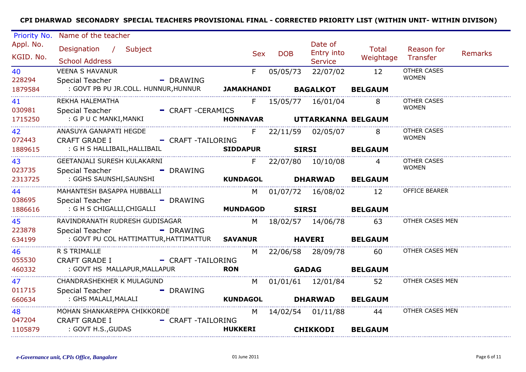| Priority No.           | Name of the teacher                                                                            |                   |            |            |                                         |                    |                                    |                |
|------------------------|------------------------------------------------------------------------------------------------|-------------------|------------|------------|-----------------------------------------|--------------------|------------------------------------|----------------|
| Appl. No.<br>KGID. No. | Designation / Subject<br><b>School Address</b>                                                 |                   | <b>Sex</b> | <b>DOB</b> | Date of<br>Entry into<br><b>Service</b> | Total<br>Weightage | Reason for<br>Transfer             | <b>Remarks</b> |
| 40<br>228294           | <b>VEENA S HAVANUR</b><br>- DRAWING<br><b>Special Teacher</b>                                  | F.                |            | 05/05/73   | 22/07/02                                | 12                 | <b>OTHER CASES</b><br><b>WOMEN</b> |                |
| 1879584                | : GOVT PB PU JR.COLL. HUNNUR, HUNNUR                                                           | <b>JAMAKHANDI</b> |            |            | <b>BAGALKOT</b>                         | <b>BELGAUM</b>     |                                    |                |
| 41<br>030981           | REKHA HALEMATHA<br>Special Teacher<br>- CRAFT-CERAMICS                                         |                   |            |            | F 15/05/77 16/01/04                     | 8                  | <b>OTHER CASES</b><br><b>WOMEN</b> |                |
| 1715250                | : G P U C MANKI,MANKI                                                                          | <b>HONNAVAR</b>   |            |            | UTTARKANNA BELGAUM                      |                    |                                    |                |
| 42<br>072443           | ANASUYA GANAPATI HEGDE<br>- CRAFT-TAILORING<br><b>CRAFT GRADE I</b>                            | F.                |            |            | 22/11/59 02/05/07                       | 8                  | <b>OTHER CASES</b><br><b>WOMEN</b> |                |
| 1889615                | : G H S HALLIBAIL, HALLIBAIL                                                                   |                   |            |            | SIRSI BELGAUM                           |                    |                                    |                |
| 43<br>023735           | GEETANJALI SURESH KULAKARNI<br>Special Teacher - - - - - DRAWING                               |                   | $F =$      |            | 22/07/80  10/10/08                      | $\overline{4}$     | <b>OTHER CASES</b><br><b>WOMEN</b> |                |
| 2313725                | : GGHS SAUNSHI,SAUNSHI                                                                         | <b>KUNDAGOL</b>   |            |            | <b>DHARWAD</b>                          | <b>BELGAUM</b>     |                                    |                |
| 44<br>038695           | MAHANTESH BASAPPA HUBBALLI<br><b>Special Teacher</b><br>- DRAWING                              |                   |            |            | M 01/07/72 16/08/02 12                  |                    | <b>OFFICE BEARER</b>               |                |
| 1886616                | : G H S CHIGALLI,CHIGALLI                                                                      | <b>MUNDAGOD</b>   |            |            | <b>SIRSI</b>                            | <b>BELGAUM</b>     |                                    |                |
| 45<br>223878           | RAVINDRANATH RUDRESH GUDISAGAR<br>- DRAWING<br><b>Special Teacher</b>                          |                   |            |            | M 18/02/57 14/06/78 63                  |                    | OTHER CASES MEN                    |                |
| 634199                 | : GOVT PU COL HATTIMATTUR, HATTIMATTUR SAVANUR HAVERI                                          |                   |            |            |                                         | <b>BELGAUM</b>     |                                    |                |
| 46<br>055530           | R S TRIMALLE<br>- CRAFT-TAILORING<br><b>CRAFT GRADE I</b>                                      | M                 |            |            | 22/06/58 28/09/78 60                    |                    | OTHER CASES MEN                    |                |
| 460332                 | : GOVT HS MALLAPUR, MALLAPUR                                                                   | <b>RON</b>        |            |            | <b>GADAG</b>                            | <b>BELGAUM</b>     |                                    |                |
| 47<br>011715           | CHANDRASHEKHER K MULAGUND<br>Special Teacher<br>- DRAWING                                      |                   | M l        |            | 01/01/61  12/01/84                      | 52                 | OTHER CASES MEN                    |                |
| 660634                 | : GHS MALALI,MALALI                                                                            | <b>KUNDAGOL</b>   |            |            | <b>DHARWAD</b>                          | <b>BELGAUM</b>     |                                    |                |
| 48<br>047204           | MOHAN SHANKAREPPA CHIKKORDE<br><b>CRAFT GRADE I</b><br>- CRAFT-TAILORING<br>: GOVT H.S., GUDAS | <b>HUKKERI</b>    |            |            | M 14/02/54 01/11/88                     | 44                 | OTHER CASES MEN                    |                |
| 1105879                |                                                                                                |                   |            |            | <b>CHIKKODI</b>                         | <b>BELGAUM</b>     |                                    |                |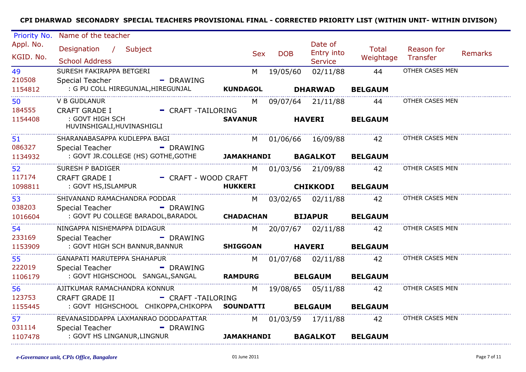| Priority No.           | Name of the teacher                                                    |                 |            |            |                         |                        |                                        |         |
|------------------------|------------------------------------------------------------------------|-----------------|------------|------------|-------------------------|------------------------|----------------------------------------|---------|
| Appl. No.<br>KGID. No. | Designation / Subject                                                  |                 | <b>Sex</b> | <b>DOB</b> | Date of<br>Entry into   | Total<br>Weightage     | Reason for<br>Transfer                 | Remarks |
|                        | <b>School Address</b>                                                  |                 |            |            | <b>Service</b>          |                        |                                        |         |
| 49                     | SURESH FAKIRAPPA BETGERI                                               | M               |            | 19/05/60   | 02/11/88                | 44                     | OTHER CASES MEN                        |         |
| 210508                 | Special Teacher<br>- DRAWING                                           |                 |            |            |                         |                        |                                        |         |
| 1154812                | : G PU COLL HIREGUNJAL,HIREGUNJAL                                      | <b>KUNDAGOL</b> |            |            | <b>DHARWAD</b>          | <b>BELGAUM</b>         |                                        |         |
| 50                     | <b>V B GUDLANUR</b>                                                    | M               |            |            |                         | 09/07/64 21/11/88 44   | OTHER CASES MEN                        |         |
| 184555                 | CRAFT GRADE I - CRAFT -TAILORING                                       |                 |            |            |                         |                        |                                        |         |
| 1154408                | : GOVT HIGH SCH<br>HUVINSHIGALI,HUVINASHIGLI                           | SAVANUR HAVERI  |            |            |                         | <b>BELGAUM</b>         |                                        |         |
| 51                     | SHARANABASAPPA KUDLEPPA BAGI                                           |                 |            |            |                         |                        | M 01/06/66 16/09/88 42 OTHER CASES MEN |         |
| 086327                 | - DRAWING<br><b>Special Teacher</b>                                    |                 |            |            |                         |                        |                                        |         |
| 1134932                | : GOVT JR.COLLEGE (HS) GOTHE, GOTHE <b>JAMAKHANDI BAGALKOT BELGAUM</b> |                 |            |            |                         |                        |                                        |         |
| 52                     | SURESH P BADIGER                                                       |                 |            |            | M 01/03/56 21/09/88     | 42                     | OTHER CASES MEN                        |         |
| 117174                 | - CRAFT - WOOD CRAFT<br><b>CRAFT GRADE I</b>                           |                 |            |            |                         |                        |                                        |         |
| 1098811                | : GOVT HS,ISLAMPUR                                                     | <b>HUKKERI</b>  |            |            | <b>CHIKKODI BELGAUM</b> |                        |                                        |         |
| 53                     | SHIVANAND RAMACHANDRA PODDAR                                           |                 |            |            |                         | M 03/02/65 02/11/88 42 | OTHER CASES MEN                        |         |
| 038203                 | Special Teacher - - - - - - DRAWING                                    |                 |            |            |                         |                        |                                        |         |
| 1016604                | : GOVT PU COLLEGE BARADOL, BARADOL <b>CHADACHAN</b>                    |                 |            |            | <b>BIJAPUR</b>          | <b>BELGAUM</b>         |                                        |         |
| 54                     | NINGAPPA NISHEMAPPA DIDAGUR                                            |                 |            |            |                         | M 20/07/67 02/11/88 42 | OTHER CASES MEN                        |         |
| 233169                 | - DRAWING<br>Special Teacher                                           |                 |            |            |                         |                        |                                        |         |
| 1153909                | : GOVT HIGH SCH BANNUR, BANNUR SHIGGOAN                                |                 |            |            | HAVERI BELGAUM          |                        |                                        |         |
| 55                     | GANAPATI MARUTEPPA SHAHAPUR                                            |                 |            |            |                         | M 01/07/68 02/11/88 42 | OTHER CASES MEN                        |         |
| 222019                 | - DRAWING<br><b>Special Teacher</b>                                    |                 |            |            |                         |                        |                                        |         |
| 1106179                | : GOVT HIGHSCHOOL SANGAL, SANGAL RAMDURG                               |                 |            |            | <b>BELGAUM BELGAUM</b>  |                        |                                        |         |
| 56                     | AJITKUMAR RAMACHANDRA KONNUR                                           |                 |            |            |                         | M 19/08/65 05/11/88 42 | OTHER CASES MEN                        |         |
| 123753                 | <b>CRAFT GRADE II</b><br>- CRAFT -TAILORING                            |                 |            |            |                         |                        |                                        |         |
| 1155445                | : GOVT HIGHSCHOOL CHIKOPPA, CHIKOPPA SOUNDATTI BELGAUM BELGAUM         |                 |            |            |                         |                        |                                        |         |
| 57                     | REVANASIDDAPPA LAXMANRAO DODDAPATTAR                                   |                 |            |            |                         | M 01/03/59 17/11/88 42 | OTHER CASES MEN                        |         |
| 031114                 | Special Teacher<br>- DRAWING                                           |                 |            |            |                         |                        |                                        |         |
| 1107478                | : GOVT HS LINGANUR,LINGNUR <b>Example 10 JAMAKHANDI</b>                |                 |            |            | <b>BAGALKOT</b>         | <b>BELGAUM</b>         |                                        |         |
|                        |                                                                        |                 |            |            |                         |                        |                                        |         |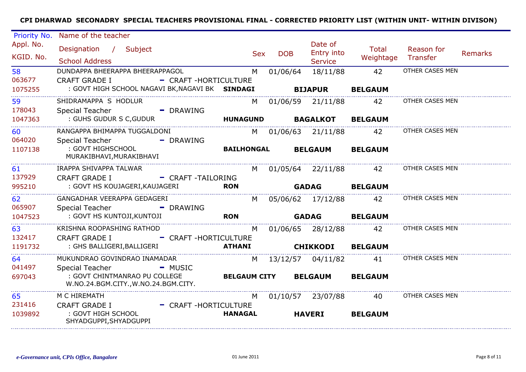| Priority No.                   | Name of the teacher                                                                                                                        |                          |                   |                                         |                           |                        |                |
|--------------------------------|--------------------------------------------------------------------------------------------------------------------------------------------|--------------------------|-------------------|-----------------------------------------|---------------------------|------------------------|----------------|
| Appl. No.<br>KGID. No.         | Designation / Subject<br><b>School Address</b>                                                                                             | <b>Sex</b>               | <b>DOB</b>        | Date of<br>Entry into<br><b>Service</b> | <b>Total</b><br>Weightage | Reason for<br>Transfer | <b>Remarks</b> |
| 58<br>063677<br>1075255        | DUNDAPPA BHEERAPPA BHEERAPPAGOL<br><b>CRAFT GRADE I</b><br>- CRAFT-HORTICULTURE<br>: GOVT HIGH SCHOOL NAGAVI BK, NAGAVI BK SINDAGI         | M                        | 01/06/64          | 18/11/88<br><b>BIJAPUR</b>              | 42<br><b>BELGAUM</b>      | OTHER CASES MEN        |                |
| 59<br>178043<br>1047363        | SHIDRAMAPPA S HODLUR<br>Special Teacher<br>- DRAWING<br>: GUHS GUDUR S C, GUDUR                                                            | M<br><b>HUNAGUND</b>     | 01/06/59 21/11/88 | <b>BAGALKOT</b>                         | 42<br><b>BELGAUM</b>      | OTHER CASES MEN        |                |
| <b>60</b><br>064020<br>1107138 | RANGAPPA BHIMAPPA TUGGALDONI<br><b>Special Teacher</b><br>- DRAWING<br>: GOVT HIGHSCHOOL                                                   | M l<br><b>BAILHONGAL</b> |                   | 01/06/63 21/11/88<br><b>BELGAUM</b>     | 42<br><b>BELGAUM</b>      | OTHER CASES MEN        |                |
| 61<br>137929                   | MURAKIBHAVI, MURAKIBHAVI<br>IRAPPA SHIVAPPA TALWAR<br><b>CRAFT GRADE I</b><br>- CRAFT-TAILORING                                            | M                        |                   | 01/05/64 22/11/88                       | 42                        | OTHER CASES MEN        |                |
| 995210                         | : GOVT HS KOUJAGERI, KAUJAGERI<br>GANGADHAR VEERAPPA GEDAGERI                                                                              | <b>RON</b>               |                   | <b>GADAG</b>                            | <b>BELGAUM</b>            | OTHER CASES MEN        |                |
| 62<br>065907<br>1047523        | <b>Special Teacher</b><br>- DRAWING<br>: GOVT HS KUNTOJI, KUNTOJI                                                                          | M<br><b>RON</b>          |                   | 05/06/62 17/12/88<br><b>GADAG</b>       | 42<br><b>BELGAUM</b>      |                        |                |
| 63<br>132417<br>1191732        | KRISHNA ROOPASHING RATHOD<br><b>CRAFT GRADE I</b><br>- CRAFT-HORTICULTURE<br>: GHS BALLIGERI, BALLIGERI                                    | M<br><b>ATHANI</b>       |                   | 01/06/65 28/12/88<br><b>CHIKKODI</b>    | 42<br><b>BELGAUM</b>      | OTHER CASES MEN        |                |
| 64<br>041497<br>697043         | MUKUNDRAO GOVINDRAO INAMADAR<br><b>Special Teacher</b><br>- MUSIC<br>: GOVT CHINTMANRAO PU COLLEGE<br>W.NO.24.BGM.CITY., W.NO.24.BGM.CITY. | M<br><b>BELGAUM CITY</b> | 13/12/57          | 04/11/82<br><b>BELGAUM</b>              | 41<br><b>BELGAUM</b>      | OTHER CASES MEN        |                |
| 65<br>231416<br>1039892        | M C HIREMATH<br><b>CRAFT GRADE I</b><br>- CRAFT-HORTICULTURE<br>: GOVT HIGH SCHOOL<br>SHYADGUPPI, SHYADGUPPI                               | M<br><b>HANAGAL</b>      |                   | 01/10/57 23/07/88<br><b>HAVERI</b>      | 40<br><b>BELGAUM</b>      | OTHER CASES MEN        |                |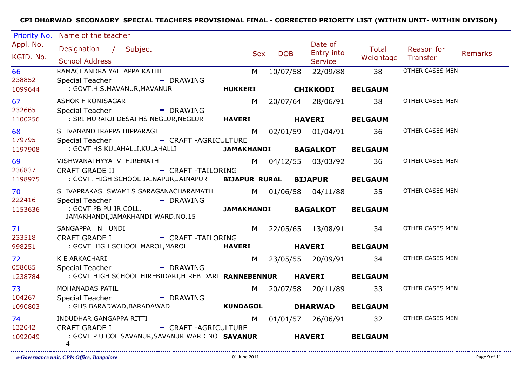| Priority No.           | Name of the teacher                                                  |                   |                                                                                                                                                                                                                                |            |                            |                        |                        |                |
|------------------------|----------------------------------------------------------------------|-------------------|--------------------------------------------------------------------------------------------------------------------------------------------------------------------------------------------------------------------------------|------------|----------------------------|------------------------|------------------------|----------------|
| Appl. No.<br>KGID. No. | Designation / Subject                                                |                   | <b>Sex</b>                                                                                                                                                                                                                     | <b>DOB</b> | Date of<br>Entry into      | Total<br>Weightage     | Reason for<br>Transfer | <b>Remarks</b> |
|                        | <b>School Address</b>                                                |                   |                                                                                                                                                                                                                                |            | <b>Service</b>             |                        |                        |                |
| 66                     | RAMACHANDRA YALLAPPA KATHI                                           |                   | M                                                                                                                                                                                                                              | 10/07/58   | 22/09/88                   | 38                     | OTHER CASES MEN        |                |
| 238852                 | Special Teacher<br>- DRAWING                                         |                   |                                                                                                                                                                                                                                |            |                            |                        |                        |                |
| 1099644                | : GOVT.H.S.MAVANUR, MAVANUR                                          | <b>HUKKERI</b>    |                                                                                                                                                                                                                                |            | <b>CHIKKODI</b>            | <b>BELGAUM</b>         |                        |                |
| 67                     | <b>ASHOK F KONISAGAR</b>                                             |                   | M                                                                                                                                                                                                                              |            | 20/07/64 28/06/91          | 38                     | OTHER CASES MEN        |                |
| 232665                 | - DRAWING<br>Special Teacher                                         |                   |                                                                                                                                                                                                                                |            |                            |                        |                        |                |
| 1100256                | : SRI MURARJI DESAI HS NEGLUR, NEGLUR HAVERI HAVERI                  |                   |                                                                                                                                                                                                                                |            |                            | <b>BELGAUM</b>         |                        |                |
| 68                     | SHIVANAND IRAPPA HIPPARAGI                                           |                   | M and the set of the set of the set of the set of the set of the set of the set of the set of the set of the set of the set of the set of the set of the set of the set of the set of the set of the set of the set of the set |            | 02/01/59 01/04/91 36       |                        | OTHER CASES MEN        |                |
| 179795                 | - CRAFT -AGRICULTURE<br>Special Teacher                              |                   |                                                                                                                                                                                                                                |            |                            |                        |                        |                |
| 1197908                | : GOVT HS KULAHALLI,KULAHALLI                                        |                   |                                                                                                                                                                                                                                |            | <b>JAMAKHANDI BAGALKOT</b> | <b>BELGAUM</b>         |                        |                |
| 69                     | VISHWANATHYYA V HIREMATH                                             |                   |                                                                                                                                                                                                                                |            | M 04/12/55 03/03/92        | 36                     | OTHER CASES MEN        |                |
| 236837                 | <b>CRAFT GRADE II</b><br>- CRAFT-TAILORING                           |                   |                                                                                                                                                                                                                                |            |                            |                        |                        |                |
| 1198975                | : GOVT. HIGH SCHOOL JAINAPUR, JAINAPUR BIJAPUR RURAL BIJAPUR BELGAUM |                   |                                                                                                                                                                                                                                |            |                            |                        |                        |                |
| 70                     | SHIVAPRAKASHSWAMI S SARAGANACHARAMATH                                |                   |                                                                                                                                                                                                                                |            | M 01/06/58 04/11/88        | 35                     | OTHER CASES MEN        |                |
| 222416                 | <b>Special Teacher</b><br>- DRAWING                                  |                   |                                                                                                                                                                                                                                |            |                            |                        |                        |                |
| 1153636                | : GOVT PB PU JR.COLL.<br>JAMAKHANDI, JAMAKHANDI WARD. NO. 15         | <b>JAMAKHANDI</b> |                                                                                                                                                                                                                                |            | <b>BAGALKOT</b>            | <b>BELGAUM</b>         |                        |                |
| 71                     | SANGAPPA N UNDI                                                      |                   |                                                                                                                                                                                                                                |            |                            | M 22/05/65 13/08/91 34 | OTHER CASES MEN        |                |
| 233518                 | <b>CRAFT GRADE I</b><br>- CRAFT -TAILORING                           |                   |                                                                                                                                                                                                                                |            |                            |                        |                        |                |
| 998251                 | : GOVT HIGH SCHOOL MAROL, MAROL <b>HAVERI</b> HAVERI HAVERI          |                   |                                                                                                                                                                                                                                |            |                            | <b>BELGAUM</b>         |                        |                |
| 72                     | K E ARKACHARI                                                        |                   | M.                                                                                                                                                                                                                             |            |                            | 23/05/55 20/09/91 34   | OTHER CASES MEN        |                |
| 058685                 | Special Teacher<br>- DRAWING                                         |                   |                                                                                                                                                                                                                                |            |                            |                        |                        |                |
| 1238784                | : GOVT HIGH SCHOOL HIREBIDARI, HIREBIDARI RANNEBENNUR HAVERI         |                   |                                                                                                                                                                                                                                |            |                            | <b>BELGAUM</b>         |                        |                |
| 73                     | MOHANADAS PATIL                                                      |                   |                                                                                                                                                                                                                                |            | M 20/07/58 20/11/89        | 33                     | OTHER CASES MEN        |                |
| 104267                 | Special Teacher<br>- DRAWING                                         |                   |                                                                                                                                                                                                                                |            |                            |                        |                        |                |
| 1090803                | : GHS BARADWAD, BARADAWAD                                            | <b>KUNDAGOL</b>   |                                                                                                                                                                                                                                |            | <b>DHARWAD</b>             | <b>BELGAUM</b>         |                        |                |
| .<br>74.               | INDUDHAR GANGAPPA RITTI                                              |                   | M                                                                                                                                                                                                                              |            | 01/01/57 26/06/91          | 32                     | OTHER CASES MEN        |                |
| 132042                 | - CRAFT -AGRICULTURE<br><b>CRAFT GRADE I</b>                         |                   |                                                                                                                                                                                                                                |            |                            |                        |                        |                |
| 1092049                | : GOVT P U COL SAVANUR, SAVANUR WARD NO SAVANUR<br>4                 |                   |                                                                                                                                                                                                                                |            | <b>HAVERI</b>              | <b>BELGAUM</b>         |                        |                |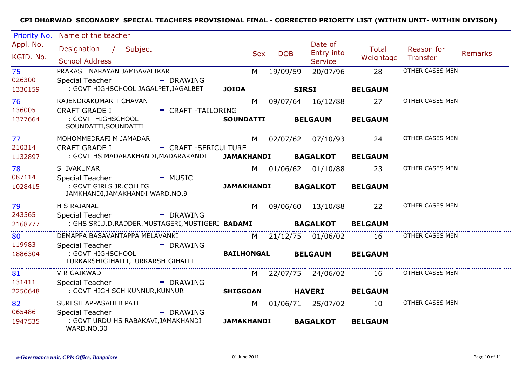| Priority No.           | Name of the teacher                                                            |                           |                   |            |                                         |                           |                        |                |
|------------------------|--------------------------------------------------------------------------------|---------------------------|-------------------|------------|-----------------------------------------|---------------------------|------------------------|----------------|
| Appl. No.<br>KGID. No. | Designation / Subject<br><b>School Address</b>                                 |                           | <b>Sex</b>        | <b>DOB</b> | Date of<br>Entry into<br><b>Service</b> | <b>Total</b><br>Weightage | Reason for<br>Transfer | <b>Remarks</b> |
| 75                     | PRAKASH NARAYAN JAMBAVALIKAR                                                   |                           | M                 | 19/09/59   | 20/07/96                                | 28                        | OTHER CASES MEN        |                |
| 026300<br>1330159      | <b>Special Teacher</b><br>: GOVT HIGHSCHOOL JAGALPET, JAGALBET                 | - DRAWING<br><b>JOIDA</b> |                   |            | <b>SIRSI</b>                            | <b>BELGAUM</b>            |                        |                |
| 76                     | RAJENDRAKUMAR T CHAVAN                                                         |                           | M                 |            | 09/07/64 16/12/88                       | 27                        | OTHER CASES MEN        |                |
| 136005<br>1377664      | <b>CRAFT GRADE I</b><br>: GOVT HIGHSCHOOL<br>SOUNDATTI, SOUNDATTI              | - CRAFT-TAILORING         | <b>SOUNDATTI</b>  |            | <b>BELGAUM</b>                          | <b>BELGAUM</b>            |                        |                |
| 77<br>210314           | MOHOMMEDRAFI M JAMADAR<br><b>CRAFT GRADE I</b>                                 | - CRAFT - SERICULTURE     | M                 |            | 02/07/62 07/10/93                       | 24                        | OTHER CASES MEN        |                |
| 1132897                | : GOVT HS MADARAKHANDI,MADARAKANDI                                             |                           | <b>JAMAKHANDI</b> |            | <b>BAGALKOT</b>                         | <b>BELGAUM</b>            |                        |                |
| 78                     | SHIVAKUMAR                                                                     |                           | M                 |            | 01/06/62 01/10/88                       | 23                        | OTHER CASES MEN        |                |
| 087114<br>1028415      | Special Teacher<br>: GOVT GIRLS JR.COLLEG<br>JAMKHANDI, JAMAKHANDI WARD. NO. 9 | - MUSIC                   | <b>JAMAKHANDI</b> |            | <b>BAGALKOT</b>                         | <b>BELGAUM</b>            |                        |                |
| 79                     | H S RAJANAL                                                                    |                           | M                 |            | 09/06/60 13/10/88                       | 22                        | OTHER CASES MEN        |                |
| 243565<br>2168777      | <b>Special Teacher</b><br>: GHS SRI.J.D.RADDER.MUSTAGERI,MUSTIGERI BADAMI      | - DRAWING                 |                   |            | <b>BAGALKOT</b>                         | <b>BELGAUM</b>            |                        |                |
| 80<br>119983           | DEMAPPA BASAVANTAPPA MELAVANKI<br><b>Special Teacher</b>                       | - DRAWING                 | M                 | 21/12/75   | 01/06/02                                | 16                        | OTHER CASES MEN        |                |
| 1886304                | : GOVT HIGHSCHOOL<br>TURKARSHIGIHALLI, TURKARSHIGIHALLI                        |                           | <b>BAILHONGAL</b> |            | <b>BELGAUM</b>                          | <b>BELGAUM</b>            |                        |                |
| 81                     | V R GAIKWAD                                                                    |                           | M                 |            | 22/07/75 24/06/02                       | 16                        | OTHER CASES MEN        |                |
| 131411<br>2250648      | Special Teacher<br>: GOVT HIGH SCH KUNNUR, KUNNUR                              | - DRAWING                 | <b>SHIGGOAN</b>   |            | <b>HAVERI</b>                           | <b>BELGAUM</b>            |                        |                |
| 82                     | SURESH APPASAHEB PATIL                                                         |                           | M                 |            | 01/06/71 25/07/02                       | 10                        | OTHER CASES MEN        |                |
| 065486<br>1947535      | Special Teacher<br>: GOVT URDU HS RABAKAVI, JAMAKHANDI<br>WARD.NO.30           | $\blacksquare$ DRAWING    | <b>JAMAKHANDI</b> |            | <b>BAGALKOT</b>                         | <b>BELGAUM</b>            |                        |                |